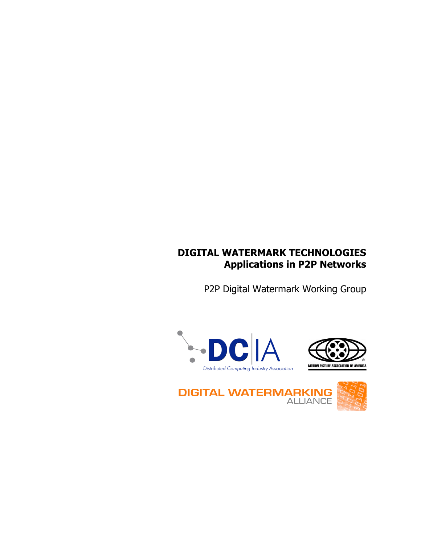## **DIGITAL WATERMARK TECHNOLOGIES Applications in P2P Networks**

P2P Digital Watermark Working Group





**DIGITAL WATERMARKING** 

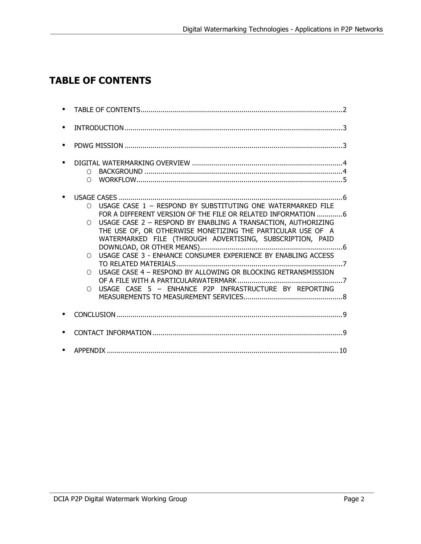# **TABLE OF CONTENTS**

| $\bigcirc$<br>$\cap$                                                                                                                                                                                                                                                                                                                                                                                                                                                                                                                                                |
|---------------------------------------------------------------------------------------------------------------------------------------------------------------------------------------------------------------------------------------------------------------------------------------------------------------------------------------------------------------------------------------------------------------------------------------------------------------------------------------------------------------------------------------------------------------------|
| USAGE CASE 1 - RESPOND BY SUBSTITUTING ONE WATERMARKED FILE<br>$\bigcap$<br>FOR A DIFFERENT VERSION OF THE FILE OR RELATED INFORMATION 6<br>USAGE CASE 2 - RESPOND BY ENABLING A TRANSACTION, AUTHORIZING<br>∩<br>THE USE OF, OR OTHERWISE MONETIZING THE PARTICULAR USE OF A<br>WATERMARKED FILE (THROUGH ADVERTISING, SUBSCRIPTION, PAID<br>USAGE CASE 3 - ENHANCE CONSUMER EXPERIENCE BY ENABLING ACCESS<br>∩<br>USAGE CASE 4 - RESPOND BY ALLOWING OR BLOCKING RETRANSMISSION<br>$\cap$<br>USAGE CASE 5 - ENHANCE P2P INFRASTRUCTURE BY REPORTING<br>$\bigcirc$ |
|                                                                                                                                                                                                                                                                                                                                                                                                                                                                                                                                                                     |
|                                                                                                                                                                                                                                                                                                                                                                                                                                                                                                                                                                     |
|                                                                                                                                                                                                                                                                                                                                                                                                                                                                                                                                                                     |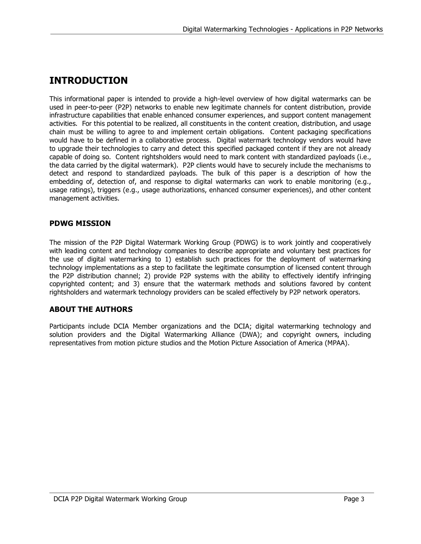# **INTRODUCTION**

This informational paper is intended to provide a high-level overview of how digital watermarks can be used in peer-to-peer (P2P) networks to enable new legitimate channels for content distribution, provide infrastructure capabilities that enable enhanced consumer experiences, and support content management activities. For this potential to be realized, all constituents in the content creation, distribution, and usage chain must be willing to agree to and implement certain obligations. Content packaging specifications would have to be defined in a collaborative process. Digital watermark technology vendors would have to upgrade their technologies to carry and detect this specified packaged content if they are not already capable of doing so. Content rightsholders would need to mark content with standardized payloads (i.e., the data carried by the digital watermark). P2P clients would have to securely include the mechanisms to detect and respond to standardized payloads. The bulk of this paper is a description of how the embedding of, detection of, and response to digital watermarks can work to enable monitoring (e.g., usage ratings), triggers (e.g., usage authorizations, enhanced consumer experiences), and other content management activities.

#### **PDWG MISSION**

The mission of the P2P Digital Watermark Working Group (PDWG) is to work jointly and cooperatively with leading content and technology companies to describe appropriate and voluntary best practices for the use of digital watermarking to 1) establish such practices for the deployment of watermarking technology implementations as a step to facilitate the legitimate consumption of licensed content through the P2P distribution channel; 2) provide P2P systems with the ability to effectively identify infringing copyrighted content; and 3) ensure that the watermark methods and solutions favored by content rightsholders and watermark technology providers can be scaled effectively by P2P network operators.

### **ABOUT THE AUTHORS**

Participants include DCIA Member organizations and the DCIA; digital watermarking technology and solution providers and the Digital Watermarking Alliance (DWA); and copyright owners, including representatives from motion picture studios and the Motion Picture Association of America (MPAA).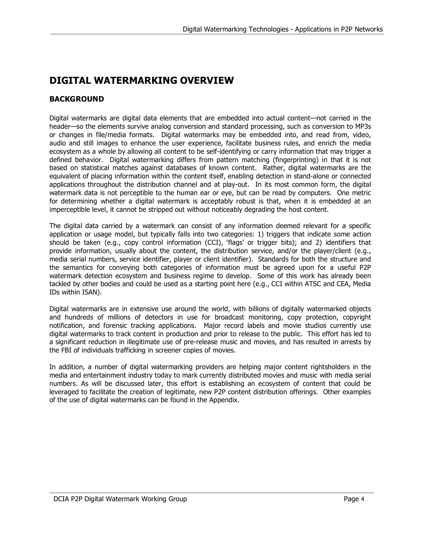# **DIGITAL WATERMARKING OVERVIEW**

### **BACKGROUND**

Digital watermarks are digital data elements that are embedded into actual content—not carried in the header—so the elements survive analog conversion and standard processing, such as conversion to MP3s or changes in file/media formats. Digital watermarks may be embedded into, and read from, video, audio and still images to enhance the user experience, facilitate business rules, and enrich the media ecosystem as a whole by allowing all content to be self-identifying or carry information that may trigger a defined behavior. Digital watermarking differs from pattern matching (fingerprinting) in that it is not based on statistical matches against databases of known content. Rather, digital watermarks are the equivalent of placing information within the content itself, enabling detection in stand-alone or connected applications throughout the distribution channel and at play-out. In its most common form, the digital watermark data is not perceptible to the human ear or eye, but can be read by computers. One metric for determining whether a digital watermark is acceptably robust is that, when it is embedded at an imperceptible level, it cannot be stripped out without noticeably degrading the host content.

The digital data carried by a watermark can consist of any information deemed relevant for a specific application or usage model, but typically falls into two categories: 1) triggers that indicate some action should be taken (e.g., copy control information (CCI), 'flags' or trigger bits); and 2) identifiers that provide information, usually about the content, the distribution service, and/or the player/client (e.g., media serial numbers, service identifier, player or client identifier). Standards for both the structure and the semantics for conveying both categories of information must be agreed upon for a useful P2P watermark detection ecosystem and business regime to develop. Some of this work has already been tackled by other bodies and could be used as a starting point here (e.g., CCI within ATSC and CEA, Media IDs within ISAN).

Digital watermarks are in extensive use around the world, with billions of digitally watermarked objects and hundreds of millions of detectors in use for broadcast monitoring, copy protection, copyright notification, and forensic tracking applications. Major record labels and movie studios currently use digital watermarks to track content in production and prior to release to the public. This effort has led to a significant reduction in illegitimate use of pre-release music and movies, and has resulted in arrests by the FBI of individuals trafficking in screener copies of movies.

In addition, a number of digital watermarking providers are helping major content rightsholders in the media and entertainment industry today to mark currently distributed movies and music with media serial numbers. As will be discussed later, this effort is establishing an ecosystem of content that could be leveraged to facilitate the creation of legitimate, new P2P content distribution offerings. Other examples of the use of digital watermarks can be found in the Appendix.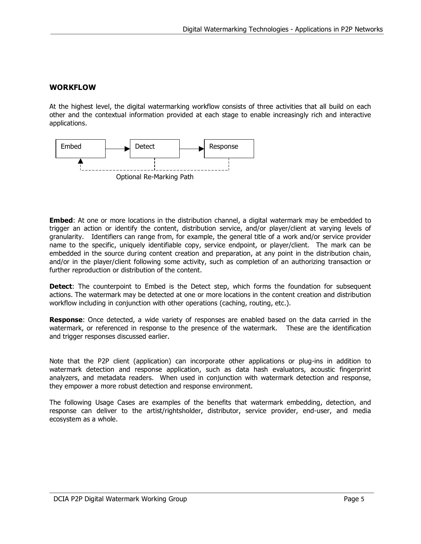#### **WORKFLOW**

At the highest level, the digital watermarking workflow consists of three activities that all build on each other and the contextual information provided at each stage to enable increasingly rich and interactive applications.



**Embed**: At one or more locations in the distribution channel, a digital watermark may be embedded to trigger an action or identify the content, distribution service, and/or player/client at varying levels of granularity. Identifiers can range from, for example, the general title of a work and/or service provider name to the specific, uniquely identifiable copy, service endpoint, or player/client. The mark can be embedded in the source during content creation and preparation, at any point in the distribution chain, and/or in the player/client following some activity, such as completion of an authorizing transaction or further reproduction or distribution of the content.

**Detect**: The counterpoint to Embed is the Detect step, which forms the foundation for subsequent actions. The watermark may be detected at one or more locations in the content creation and distribution workflow including in conjunction with other operations (caching, routing, etc.).

**Response**: Once detected, a wide variety of responses are enabled based on the data carried in the watermark, or referenced in response to the presence of the watermark. These are the identification and trigger responses discussed earlier.

Note that the P2P client (application) can incorporate other applications or plug-ins in addition to watermark detection and response application, such as data hash evaluators, acoustic fingerprint analyzers, and metadata readers. When used in conjunction with watermark detection and response, they empower a more robust detection and response environment.

The following Usage Cases are examples of the benefits that watermark embedding, detection, and response can deliver to the artist/rightsholder, distributor, service provider, end-user, and media ecosystem as a whole.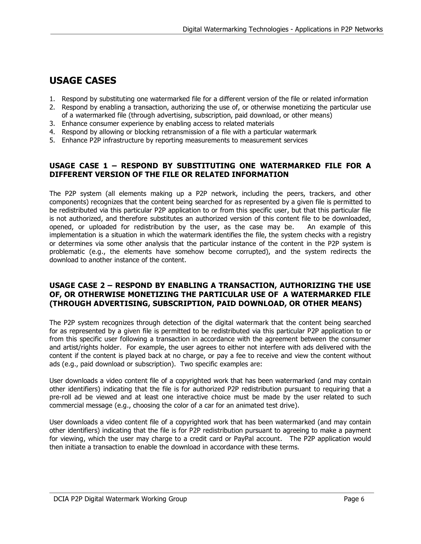## **USAGE CASES**

- 1. Respond by substituting one watermarked file for a different version of the file or related information
- 2. Respond by enabling a transaction, authorizing the use of, or otherwise monetizing the particular use of a watermarked file (through advertising, subscription, paid download, or other means)
- 3. Enhance consumer experience by enabling access to related materials
- 4. Respond by allowing or blocking retransmission of a file with a particular watermark
- 5. Enhance P2P infrastructure by reporting measurements to measurement services

#### **USAGE CASE 1 – RESPOND BY SUBSTITUTING ONE WATERMARKED FILE FOR A DIFFERENT VERSION OF THE FILE OR RELATED INFORMATION**

The P2P system (all elements making up a P2P network, including the peers, trackers, and other components) recognizes that the content being searched for as represented by a given file is permitted to be redistributed via this particular P2P application to or from this specific user, but that this particular file is not authorized, and therefore substitutes an authorized version of this content file to be downloaded, opened, or uploaded for redistribution by the user, as the case may be. An example of this implementation is a situation in which the watermark identifies the file, the system checks with a registry or determines via some other analysis that the particular instance of the content in the P2P system is problematic (e.g., the elements have somehow become corrupted), and the system redirects the download to another instance of the content.

#### **USAGE CASE 2 – RESPOND BY ENABLING A TRANSACTION, AUTHORIZING THE USE OF, OR OTHERWISE MONETIZING THE PARTICULAR USE OF A WATERMARKED FILE (THROUGH ADVERTISING, SUBSCRIPTION, PAID DOWNLOAD, OR OTHER MEANS)**

The P2P system recognizes through detection of the digital watermark that the content being searched for as represented by a given file is permitted to be redistributed via this particular P2P application to or from this specific user following a transaction in accordance with the agreement between the consumer and artist/rights holder. For example, the user agrees to either not interfere with ads delivered with the content if the content is played back at no charge, or pay a fee to receive and view the content without ads (e.g., paid download or subscription). Two specific examples are:

User downloads a video content file of a copyrighted work that has been watermarked (and may contain other identifiers) indicating that the file is for authorized P2P redistribution pursuant to requiring that a pre-roll ad be viewed and at least one interactive choice must be made by the user related to such commercial message (e.g., choosing the color of a car for an animated test drive).

User downloads a video content file of a copyrighted work that has been watermarked (and may contain other identifiers) indicating that the file is for P2P redistribution pursuant to agreeing to make a payment for viewing, which the user may charge to a credit card or PayPal account. The P2P application would then initiate a transaction to enable the download in accordance with these terms.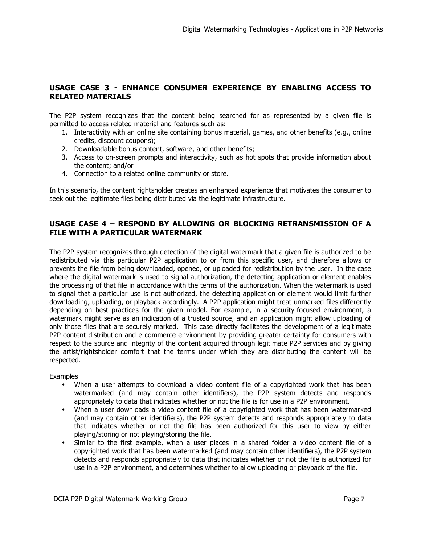### **USAGE CASE 3 - ENHANCE CONSUMER EXPERIENCE BY ENABLING ACCESS TO RELATED MATERIALS**

The P2P system recognizes that the content being searched for as represented by a given file is permitted to access related material and features such as:

- 1. Interactivity with an online site containing bonus material, games, and other benefits (e.g., online credits, discount coupons);
- 2. Downloadable bonus content, software, and other benefits;
- 3. Access to on-screen prompts and interactivity, such as hot spots that provide information about the content; and/or
- 4. Connection to a related online community or store.

In this scenario, the content rightsholder creates an enhanced experience that motivates the consumer to seek out the legitimate files being distributed via the legitimate infrastructure.

#### **USAGE CASE 4 – RESPOND BY ALLOWING OR BLOCKING RETRANSMISSION OF A FILE WITH A PARTICULAR WATERMARK**

The P2P system recognizes through detection of the digital watermark that a given file is authorized to be redistributed via this particular P2P application to or from this specific user, and therefore allows or prevents the file from being downloaded, opened, or uploaded for redistribution by the user. In the case where the digital watermark is used to signal authorization, the detecting application or element enables the processing of that file in accordance with the terms of the authorization. When the watermark is used to signal that a particular use is not authorized, the detecting application or element would limit further downloading, uploading, or playback accordingly. A P2P application might treat unmarked files differently depending on best practices for the given model. For example, in a security-focused environment, a watermark might serve as an indication of a trusted source, and an application might allow uploading of only those files that are securely marked. This case directly facilitates the development of a legitimate P2P content distribution and e-commerce environment by providing greater certainty for consumers with respect to the source and integrity of the content acquired through legitimate P2P services and by giving the artist/rightsholder comfort that the terms under which they are distributing the content will be respected.

Examples

- When a user attempts to download a video content file of a copyrighted work that has been watermarked (and may contain other identifiers), the P2P system detects and responds appropriately to data that indicates whether or not the file is for use in a P2P environment.
- When a user downloads a video content file of a copyrighted work that has been watermarked (and may contain other identifiers), the P2P system detects and responds appropriately to data that indicates whether or not the file has been authorized for this user to view by either playing/storing or not playing/storing the file.
- Similar to the first example, when a user places in a shared folder a video content file of a copyrighted work that has been watermarked (and may contain other identifiers), the P2P system detects and responds appropriately to data that indicates whether or not the file is authorized for use in a P2P environment, and determines whether to allow uploading or playback of the file.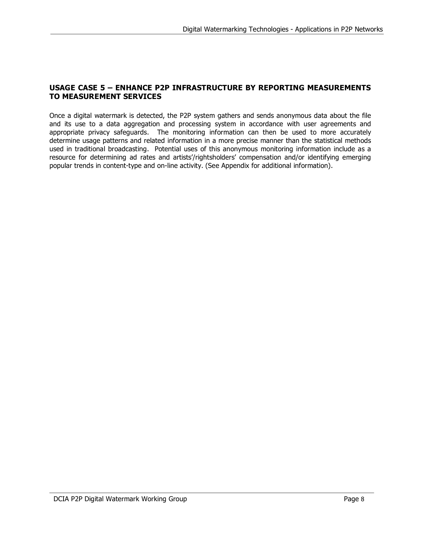#### **USAGE CASE 5 – ENHANCE P2P INFRASTRUCTURE BY REPORTING MEASUREMENTS TO MEASUREMENT SERVICES**

Once a digital watermark is detected, the P2P system gathers and sends anonymous data about the file and its use to a data aggregation and processing system in accordance with user agreements and appropriate privacy safeguards. The monitoring information can then be used to more accurately determine usage patterns and related information in a more precise manner than the statistical methods used in traditional broadcasting. Potential uses of this anonymous monitoring information include as a resource for determining ad rates and artists'/rightsholders' compensation and/or identifying emerging popular trends in content-type and on-line activity. (See Appendix for additional information).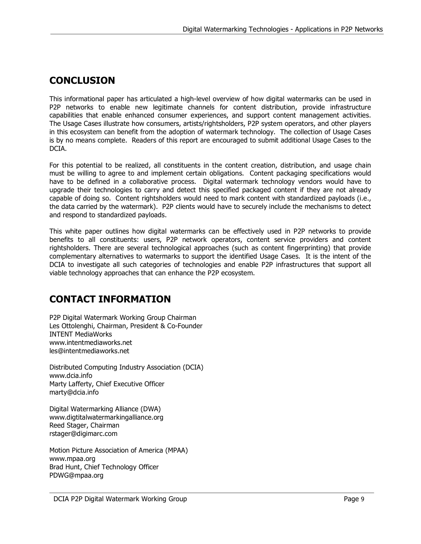### **CONCLUSION**

This informational paper has articulated a high-level overview of how digital watermarks can be used in P2P networks to enable new legitimate channels for content distribution, provide infrastructure capabilities that enable enhanced consumer experiences, and support content management activities. The Usage Cases illustrate how consumers, artists/rightsholders, P2P system operators, and other players in this ecosystem can benefit from the adoption of watermark technology. The collection of Usage Cases is by no means complete. Readers of this report are encouraged to submit additional Usage Cases to the DCIA.

For this potential to be realized, all constituents in the content creation, distribution, and usage chain must be willing to agree to and implement certain obligations. Content packaging specifications would have to be defined in a collaborative process. Digital watermark technology vendors would have to upgrade their technologies to carry and detect this specified packaged content if they are not already capable of doing so. Content rightsholders would need to mark content with standardized payloads (i.e., the data carried by the watermark). P2P clients would have to securely include the mechanisms to detect and respond to standardized payloads.

This white paper outlines how digital watermarks can be effectively used in P2P networks to provide benefits to all constituents: users, P2P network operators, content service providers and content rightsholders. There are several technological approaches (such as content fingerprinting) that provide complementary alternatives to watermarks to support the identified Usage Cases. It is the intent of the DCIA to investigate all such categories of technologies and enable P2P infrastructures that support all viable technology approaches that can enhance the P2P ecosystem.

### **CONTACT INFORMATION**

P2P Digital Watermark Working Group Chairman Les Ottolenghi, Chairman, President & Co-Founder INTENT MediaWorks www.intentmediaworks.net les@intentmediaworks.net

Distributed Computing Industry Association (DCIA) www.dcia.info Marty Lafferty, Chief Executive Officer marty@dcia.info

Digital Watermarking Alliance (DWA) www.digtitalwatermarkingalliance.org Reed Stager, Chairman rstager@digimarc.com

Motion Picture Association of America (MPAA) www.mpaa.org Brad Hunt, Chief Technology Officer PDWG@mpaa.org